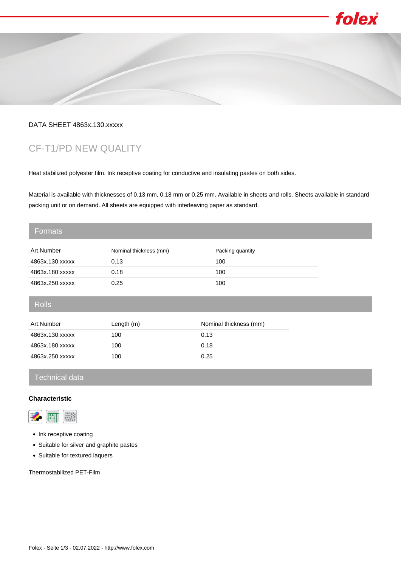

folex

## DATA SHEET 4863x.130.xxxxx

# CF-T1/PD NEW QUALITY

Heat stabilized polyester film. Ink receptive coating for conductive and insulating pastes on both sides.

Material is available with thicknesses of 0.13 mm, 0.18 mm or 0.25 mm. Available in sheets and rolls. Sheets available in standard packing unit or on demand. All sheets are equipped with interleaving paper as standard.

#### Formats

| Art.Number      | Nominal thickness (mm) | Packing quantity |
|-----------------|------------------------|------------------|
| 4863x.130.xxxxx | 0.13                   | 100              |
| 4863x.180.xxxxx | 0.18                   | 100              |
| 4863x.250.xxxxx | 0.25                   | 100              |

Rolls

| Art.Number      | Length $(m)$ | Nominal thickness (mm) |
|-----------------|--------------|------------------------|
| 4863x.130.xxxxx | 100          | 0.13                   |
| 4863x.180.xxxxx | 100          | 0.18                   |
| 4863x.250.xxxxx | 100          | 0.25                   |

## Technical data

#### **Characteristic**



- Ink receptive coating
- Suitable for silver and graphite pastes
- Suitable for textured laquers

Thermostabilized PET-Film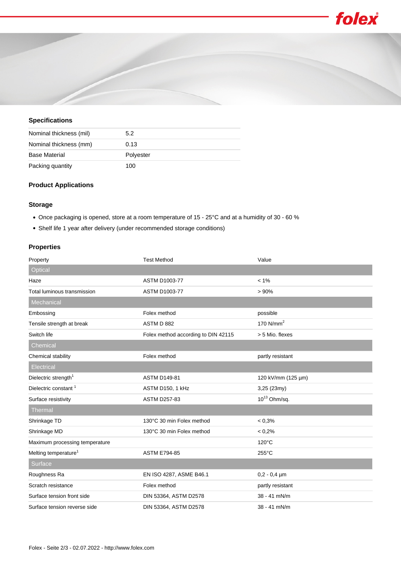



#### **Specifications**

| Nominal thickness (mil) | 5.2       |
|-------------------------|-----------|
| Nominal thickness (mm)  | 0.13      |
| <b>Base Material</b>    | Polyester |
| Packing quantity        | 100       |

#### **Product Applications**

#### **Storage**

- Once packaging is opened, store at a room temperature of 15 25°C and at a humidity of 30 60 %
- Shelf life 1 year after delivery (under recommended storage conditions)

### **Properties**

| Property                         | <b>Test Method</b>                  | Value              |
|----------------------------------|-------------------------------------|--------------------|
| Optical                          |                                     |                    |
| Haze                             | <b>ASTM D1003-77</b>                | $< 1\%$            |
| Total luminous transmission      | <b>ASTM D1003-77</b>                | >90%               |
| Mechanical                       |                                     |                    |
| Embossing                        | Folex method                        | possible           |
| Tensile strength at break        | ASTM D 882                          | 170 $N/mm2$        |
| Switch life                      | Folex method according to DIN 42115 | > 5 Mio. flexes    |
| Chemical                         |                                     |                    |
| Chemical stability               | Folex method                        | partly resistant   |
| Electrical                       |                                     |                    |
| Dielectric strength <sup>1</sup> | <b>ASTM D149-81</b>                 | 120 kV/mm (125 µm) |
| Dielectric constant <sup>1</sup> | ASTM D150, 1 kHz                    | 3,25 (23my)        |
| Surface resistivity              | <b>ASTM D257-83</b>                 | $10^{13}$ Ohm/sq.  |
| <b>Thermal</b>                   |                                     |                    |
| Shrinkage TD                     | 130°C 30 min Folex method           | < 0.3%             |
| Shrinkage MD                     | 130°C 30 min Folex method           | < 0.2%             |
| Maximum processing temperature   |                                     | $120^{\circ}$ C    |
| Melting temperature <sup>1</sup> | <b>ASTM E794-85</b>                 | $255^{\circ}$ C    |
| Surface                          |                                     |                    |
| Roughness Ra                     | EN ISO 4287, ASME B46.1             | $0,2 - 0,4$ µm     |
| Scratch resistance               | Folex method                        | partly resistant   |
| Surface tension front side       | DIN 53364, ASTM D2578               | 38 - 41 mN/m       |
| Surface tension reverse side     | DIN 53364, ASTM D2578               | 38 - 41 mN/m       |